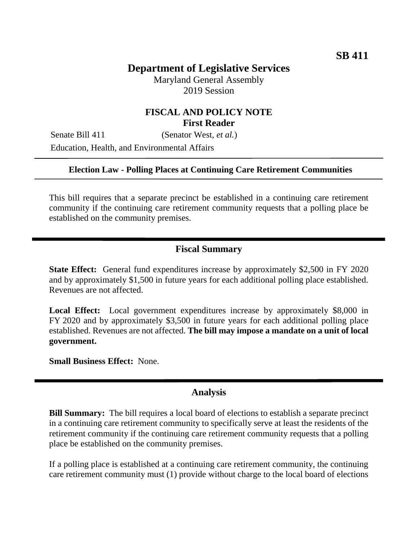# **Department of Legislative Services**

Maryland General Assembly 2019 Session

### **FISCAL AND POLICY NOTE First Reader**

Senate Bill 411 (Senator West, *et al.*) Education, Health, and Environmental Affairs

#### **Election Law - Polling Places at Continuing Care Retirement Communities**

This bill requires that a separate precinct be established in a continuing care retirement community if the continuing care retirement community requests that a polling place be established on the community premises.

## **Fiscal Summary**

**State Effect:** General fund expenditures increase by approximately \$2,500 in FY 2020 and by approximately \$1,500 in future years for each additional polling place established. Revenues are not affected.

**Local Effect:** Local government expenditures increase by approximately \$8,000 in FY 2020 and by approximately \$3,500 in future years for each additional polling place established. Revenues are not affected. **The bill may impose a mandate on a unit of local government.**

**Small Business Effect:** None.

#### **Analysis**

**Bill Summary:** The bill requires a local board of elections to establish a separate precinct in a continuing care retirement community to specifically serve at least the residents of the retirement community if the continuing care retirement community requests that a polling place be established on the community premises.

If a polling place is established at a continuing care retirement community, the continuing care retirement community must (1) provide without charge to the local board of elections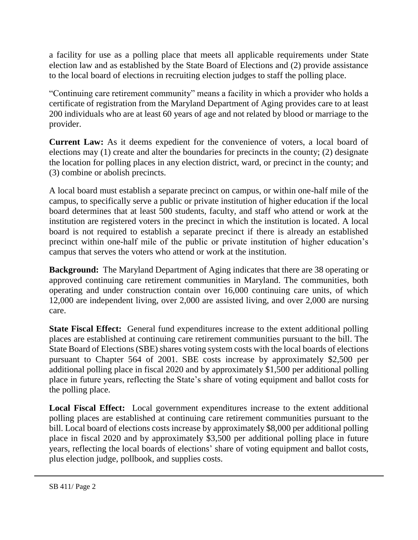a facility for use as a polling place that meets all applicable requirements under State election law and as established by the State Board of Elections and (2) provide assistance to the local board of elections in recruiting election judges to staff the polling place.

"Continuing care retirement community" means a facility in which a provider who holds a certificate of registration from the Maryland Department of Aging provides care to at least 200 individuals who are at least 60 years of age and not related by blood or marriage to the provider.

**Current Law:** As it deems expedient for the convenience of voters, a local board of elections may (1) create and alter the boundaries for precincts in the county; (2) designate the location for polling places in any election district, ward, or precinct in the county; and (3) combine or abolish precincts.

A local board must establish a separate precinct on campus, or within one-half mile of the campus, to specifically serve a public or private institution of higher education if the local board determines that at least 500 students, faculty, and staff who attend or work at the institution are registered voters in the precinct in which the institution is located. A local board is not required to establish a separate precinct if there is already an established precinct within one-half mile of the public or private institution of higher education's campus that serves the voters who attend or work at the institution.

**Background:** The Maryland Department of Aging indicates that there are 38 operating or approved continuing care retirement communities in Maryland. The communities, both operating and under construction contain over 16,000 continuing care units, of which 12,000 are independent living, over 2,000 are assisted living, and over 2,000 are nursing care.

**State Fiscal Effect:** General fund expenditures increase to the extent additional polling places are established at continuing care retirement communities pursuant to the bill. The State Board of Elections (SBE) shares voting system costs with the local boards of elections pursuant to Chapter 564 of 2001. SBE costs increase by approximately \$2,500 per additional polling place in fiscal 2020 and by approximately \$1,500 per additional polling place in future years, reflecting the State's share of voting equipment and ballot costs for the polling place.

**Local Fiscal Effect:** Local government expenditures increase to the extent additional polling places are established at continuing care retirement communities pursuant to the bill. Local board of elections costs increase by approximately \$8,000 per additional polling place in fiscal 2020 and by approximately \$3,500 per additional polling place in future years, reflecting the local boards of elections' share of voting equipment and ballot costs, plus election judge, pollbook, and supplies costs.